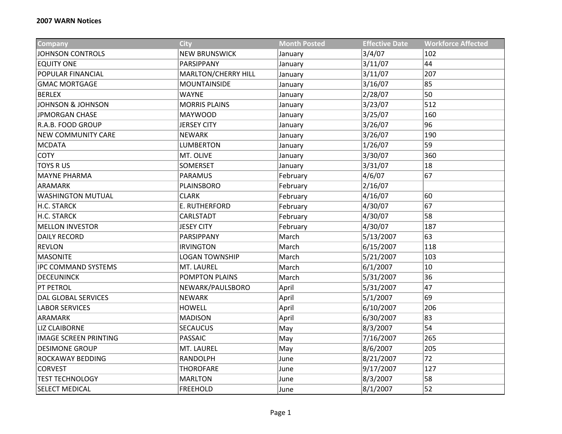| <b>Company</b>               | <b>City</b>           | <b>Month Posted</b> | <b>Effective Date</b> | <b>Workforce Affected</b> |
|------------------------------|-----------------------|---------------------|-----------------------|---------------------------|
| <b>JOHNSON CONTROLS</b>      | <b>NEW BRUNSWICK</b>  | January             | 3/4/07                | 102                       |
| <b>EQUITY ONE</b>            | PARSIPPANY            | January             | 3/11/07               | 44                        |
| POPULAR FINANCIAL            | MARLTON/CHERRY HILL   | January             | 3/11/07               | 207                       |
| <b>GMAC MORTGAGE</b>         | <b>MOUNTAINSIDE</b>   | January             | 3/16/07               | 85                        |
| <b>BERLEX</b>                | <b>WAYNE</b>          | January             | 2/28/07               | 50                        |
| <b>JOHNSON &amp; JOHNSON</b> | <b>MORRIS PLAINS</b>  | January             | 3/23/07               | 512                       |
| <b>JPMORGAN CHASE</b>        | <b>MAYWOOD</b>        | January             | 3/25/07               | 160                       |
| R.A.B. FOOD GROUP            | <b>JERSEY CITY</b>    | January             | 3/26/07               | 96                        |
| <b>NEW COMMUNITY CARE</b>    | <b>NEWARK</b>         | January             | 3/26/07               | 190                       |
| <b>MCDATA</b>                | <b>LUMBERTON</b>      | January             | 1/26/07               | 59                        |
| <b>COTY</b>                  | MT. OLIVE             | January             | 3/30/07               | 360                       |
| <b>TOYS RUS</b>              | SOMERSET              | January             | 3/31/07               | 18                        |
| <b>MAYNE PHARMA</b>          | PARAMUS               | February            | 4/6/07                | 67                        |
| <b>ARAMARK</b>               | PLAINSBORO            | February            | 2/16/07               |                           |
| <b>WASHINGTON MUTUAL</b>     | <b>CLARK</b>          | February            | 4/16/07               | 60                        |
| H.C. STARCK                  | E. RUTHERFORD         | February            | 4/30/07               | 67                        |
| H.C. STARCK                  | CARLSTADT             | February            | 4/30/07               | 58                        |
| <b>MELLON INVESTOR</b>       | <b>JESEY CITY</b>     | February            | 4/30/07               | 187                       |
| <b>DAILY RECORD</b>          | PARSIPPANY            | March               | 5/13/2007             | 63                        |
| <b>REVLON</b>                | <b>IRVINGTON</b>      | March               | 6/15/2007             | 118                       |
| <b>MASONITE</b>              | <b>LOGAN TOWNSHIP</b> | March               | 5/21/2007             | 103                       |
| <b>IPC COMMAND SYSTEMS</b>   | MT. LAUREL            | March               | 6/1/2007              | 10                        |
| <b>DECEUNINCK</b>            | POMPTON PLAINS        | March               | 5/31/2007             | 36                        |
| <b>PT PETROL</b>             | NEWARK/PAULSBORO      | April               | 5/31/2007             | 47                        |
| <b>DAL GLOBAL SERVICES</b>   | <b>NEWARK</b>         | April               | 5/1/2007              | 69                        |
| <b>LABOR SERVICES</b>        | <b>HOWELL</b>         | April               | 6/10/2007             | 206                       |
| <b>ARAMARK</b>               | <b>MADISON</b>        | April               | 6/30/2007             | 83                        |
| <b>LIZ CLAIBORNE</b>         | <b>SECAUCUS</b>       | May                 | 8/3/2007              | 54                        |
| <b>IMAGE SCREEN PRINTING</b> | <b>PASSAIC</b>        | May                 | 7/16/2007             | 265                       |
| <b>DESIMONE GROUP</b>        | MT. LAUREL            | May                 | 8/6/2007              | 205                       |
| ROCKAWAY BEDDING             | <b>RANDOLPH</b>       | June                | 8/21/2007             | 72                        |
| <b>CORVEST</b>               | <b>THOROFARE</b>      | June                | 9/17/2007             | 127                       |
| <b>TEST TECHNOLOGY</b>       | <b>MARLTON</b>        | June                | 8/3/2007              | 58                        |
| <b>SELECT MEDICAL</b>        | <b>FREEHOLD</b>       | June                | 8/1/2007              | 52                        |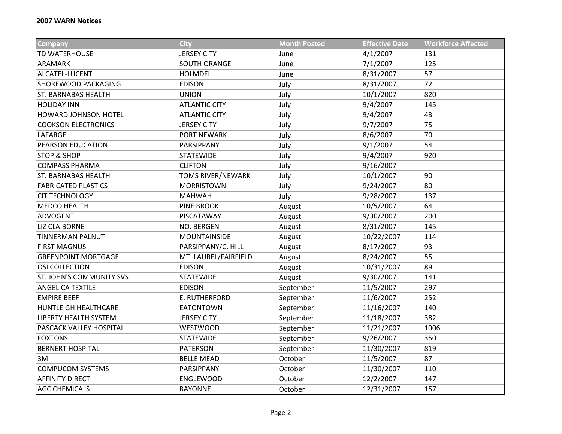| <b>Company</b>                  | <b>City</b>              | <b>Month Posted</b> | <b>Effective Date</b> | <b>Workforce Affected</b> |
|---------------------------------|--------------------------|---------------------|-----------------------|---------------------------|
| TD WATERHOUSE                   | <b>JERSEY CITY</b>       | June                | 4/1/2007              | 131                       |
| <b>ARAMARK</b>                  | SOUTH ORANGE             | June                | 7/1/2007              | 125                       |
| ALCATEL-LUCENT                  | HOLMDEL                  | June                | 8/31/2007             | 57                        |
| SHOREWOOD PACKAGING             | <b>EDISON</b>            | July                | 8/31/2007             | 72                        |
| <b>ST. BARNABAS HEALTH</b>      | <b>UNION</b>             | July                | 10/1/2007             | 820                       |
| <b>HOLIDAY INN</b>              | <b>ATLANTIC CITY</b>     | July                | 9/4/2007              | 145                       |
| <b>HOWARD JOHNSON HOTEL</b>     | <b>ATLANTIC CITY</b>     | July                | 9/4/2007              | 43                        |
| <b>COOKSON ELECTRONICS</b>      | <b>JERSEY CITY</b>       | July                | 9/7/2007              | 75                        |
| LAFARGE                         | PORT NEWARK              | July                | 8/6/2007              | 70                        |
| <b>PEARSON EDUCATION</b>        | PARSIPPANY               | July                | 9/1/2007              | 54                        |
| <b>STOP &amp; SHOP</b>          | <b>STATEWIDE</b>         | July                | 9/4/2007              | 920                       |
| <b>COMPASS PHARMA</b>           | <b>CLIFTON</b>           | July                | 9/16/2007             |                           |
| <b>ST. BARNABAS HEALTH</b>      | <b>TOMS RIVER/NEWARK</b> | July                | 10/1/2007             | 90                        |
| <b>FABRICATED PLASTICS</b>      | <b>MORRISTOWN</b>        | July                | 9/24/2007             | 80                        |
| <b>CIT TECHNOLOGY</b>           | <b>MAHWAH</b>            | July                | 9/28/2007             | 137                       |
| <b>MEDCO HEALTH</b>             | PINE BROOK               | August              | 10/5/2007             | 64                        |
| ADVOGENT                        | PISCATAWAY               | August              | 9/30/2007             | 200                       |
| <b>LIZ CLAIBORNE</b>            | NO. BERGEN               | August              | 8/31/2007             | 145                       |
| <b>TINNERMAN PALNUT</b>         | MOUNTAINSIDE             | August              | 10/22/2007            | 114                       |
| <b>FIRST MAGNUS</b>             | PARSIPPANY/C. HILL       | August              | 8/17/2007             | 93                        |
| <b>GREENPOINT MORTGAGE</b>      | MT. LAUREL/FAIRFIELD     | August              | 8/24/2007             | 55                        |
| <b>OSI COLLECTION</b>           | <b>EDISON</b>            | August              | 10/31/2007            | 89                        |
| <b>ST. JOHN'S COMMUNITY SVS</b> | <b>STATEWIDE</b>         | August              | 9/30/2007             | 141                       |
| <b>ANGELICA TEXTILE</b>         | <b>EDISON</b>            | September           | 11/5/2007             | 297                       |
| <b>EMPIRE BEEF</b>              | E. RUTHERFORD            | September           | 11/6/2007             | 252                       |
| <b>HUNTLEIGH HEALTHCARE</b>     | <b>EATONTOWN</b>         | September           | 11/16/2007            | 140                       |
| <b>LIBERTY HEALTH SYSTEM</b>    | <b>JERSEY CITY</b>       | September           | 11/18/2007            | 382                       |
| PASCACK VALLEY HOSPITAL         | <b>WESTWOOD</b>          | September           | 11/21/2007            | 1006                      |
| <b>FOXTONS</b>                  | <b>STATEWIDE</b>         | September           | 9/26/2007             | 350                       |
| <b>BERNERT HOSPITAL</b>         | PATERSON                 | September           | 11/30/2007            | 819                       |
| 3M                              | <b>BELLE MEAD</b>        | October             | 11/5/2007             | 87                        |
| <b>COMPUCOM SYSTEMS</b>         | PARSIPPANY               | October             | 11/30/2007            | 110                       |
| <b>AFFINITY DIRECT</b>          | <b>ENGLEWOOD</b>         | October             | 12/2/2007             | 147                       |
| <b>AGC CHEMICALS</b>            | <b>BAYONNE</b>           | October             | 12/31/2007            | 157                       |